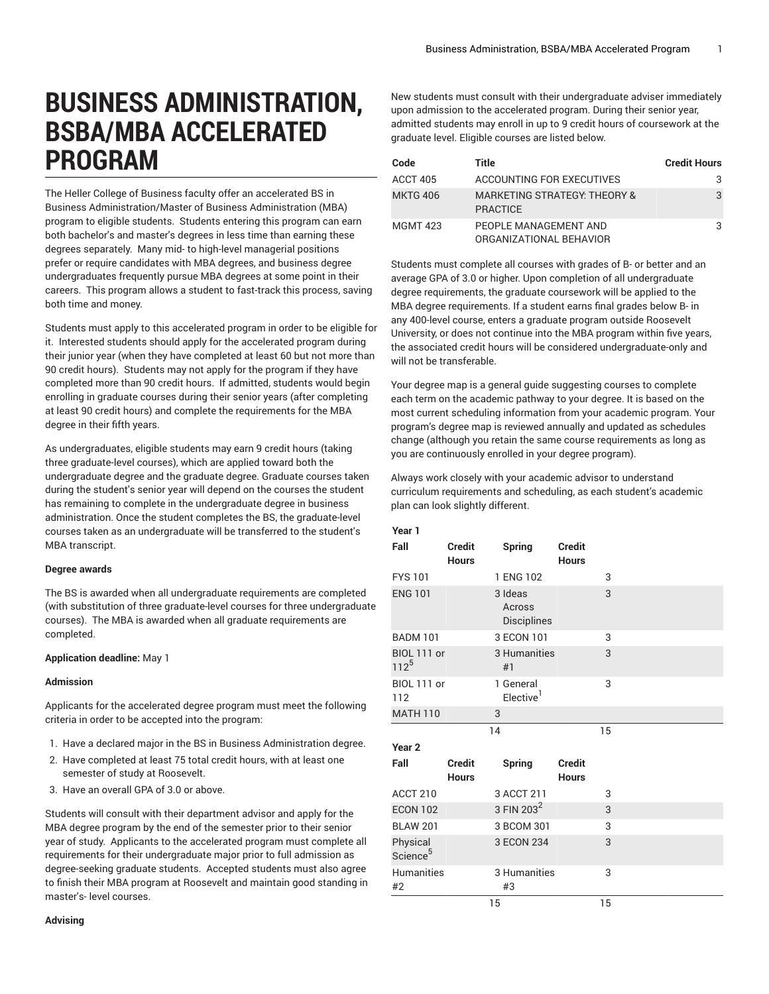# **BUSINESS ADMINISTRATION, BSBA/MBA ACCELERATED PROGRAM**

The Heller College of Business faculty offer an accelerated BS in Business Administration/Master of Business Administration (MBA) program to eligible students. Students entering this program can earn both bachelor's and master's degrees in less time than earning these degrees separately. Many mid- to high-level managerial positions prefer or require candidates with MBA degrees, and business degree undergraduates frequently pursue MBA degrees at some point in their careers. This program allows a student to fast-track this process, saving both time and money.

Students must apply to this accelerated program in order to be eligible for it. Interested students should apply for the accelerated program during their junior year (when they have completed at least 60 but not more than 90 credit hours). Students may not apply for the program if they have completed more than 90 credit hours. If admitted, students would begin enrolling in graduate courses during their senior years (after completing at least 90 credit hours) and complete the requirements for the MBA degree in their fifth years.

As undergraduates, eligible students may earn 9 credit hours (taking three graduate-level courses), which are applied toward both the undergraduate degree and the graduate degree. Graduate courses taken during the student's senior year will depend on the courses the student has remaining to complete in the undergraduate degree in business administration. Once the student completes the BS, the graduate-level courses taken as an undergraduate will be transferred to the student's MBA transcript.

#### **Degree awards**

The BS is awarded when all undergraduate requirements are completed (with substitution of three graduate-level courses for three undergraduate courses). The MBA is awarded when all graduate requirements are completed.

#### **Application deadline:** May 1

#### **Admission**

Applicants for the accelerated degree program must meet the following criteria in order to be accepted into the program:

- 1. Have a declared major in the BS in Business Administration degree.
- 2. Have completed at least 75 total credit hours, with at least one semester of study at Roosevelt.
- 3. Have an overall GPA of 3.0 or above.

Students will consult with their department advisor and apply for the MBA degree program by the end of the semester prior to their senior year of study. Applicants to the accelerated program must complete all requirements for their undergraduate major prior to full admission as degree-seeking graduate students. Accepted students must also agree to finish their MBA program at Roosevelt and maintain good standing in master's- level courses.

New students must consult with their undergraduate adviser immediately upon admission to the accelerated program. During their senior year, admitted students may enroll in up to 9 credit hours of coursework at the graduate level. Eligible courses are listed below.

| Code            | Title                                                      | <b>Credit Hours</b> |
|-----------------|------------------------------------------------------------|---------------------|
| ACCT 405        | ACCOUNTING FOR EXECUTIVES                                  | 3                   |
| <b>MKTG 406</b> | <b>MARKETING STRATEGY: THEORY &amp;</b><br><b>PRACTICE</b> | 3                   |
| MGMT 423        | PEOPLE MANAGEMENT AND<br>ORGANIZATIONAL BEHAVIOR           | 3                   |

Students must complete all courses with grades of B- or better and an average GPA of 3.0 or higher. Upon completion of all undergraduate degree requirements, the graduate coursework will be applied to the MBA degree requirements. If a student earns final grades below B- in any 400-level course, enters a graduate program outside Roosevelt University, or does not continue into the MBA program within five years, the associated credit hours will be considered undergraduate-only and will not be transferable.

Your degree map is a general guide suggesting courses to complete each term on the academic pathway to your degree. It is based on the most current scheduling information from your academic program. Your program's degree map is reviewed annually and updated as schedules change (although you retain the same course requirements as long as you are continuously enrolled in your degree program).

Always work closely with your academic advisor to understand curriculum requirements and scheduling, as each student's academic plan can look slightly different.

**Year 1**

| rear ı                           |                               |                                    |                               |    |  |
|----------------------------------|-------------------------------|------------------------------------|-------------------------------|----|--|
| Fall                             | <b>Credit</b><br><b>Hours</b> | <b>Spring</b>                      | <b>Credit</b><br><b>Hours</b> |    |  |
| <b>FYS101</b>                    |                               | 1 ENG 102                          |                               | 3  |  |
| <b>ENG 101</b>                   |                               | 3 Ideas<br>Across<br>Disciplines   |                               | 3  |  |
| <b>BADM 101</b>                  |                               | 3 ECON 101                         |                               | 3  |  |
| <b>BIOL 111 or</b><br>$112^{5}$  |                               | 3 Humanities<br>#1                 |                               | 3  |  |
| BIOL 111 or<br>112               |                               | 1 General<br>Elective <sup>1</sup> |                               | 3  |  |
| <b>MATH 110</b>                  |                               | 3                                  |                               |    |  |
|                                  | 14                            |                                    |                               | 15 |  |
| Year <sub>2</sub>                |                               |                                    |                               |    |  |
| Fall                             | <b>Credit</b><br><b>Hours</b> | <b>Spring</b>                      | <b>Credit</b><br><b>Hours</b> |    |  |
| ACCT 210                         |                               | 3 ACCT 211                         |                               | 3  |  |
| <b>ECON 102</b>                  |                               | 3 FIN 203 <sup>2</sup>             |                               | 3  |  |
| <b>BLAW 201</b>                  |                               | 3 BCOM 301                         |                               | 3  |  |
| Physical<br>Science <sup>5</sup> |                               | 3 ECON 234                         |                               | 3  |  |
|                                  |                               |                                    |                               |    |  |
| <b>Humanities</b><br>#2          |                               | 3 Humanities<br>#3                 |                               | 3  |  |

#### **Advising**